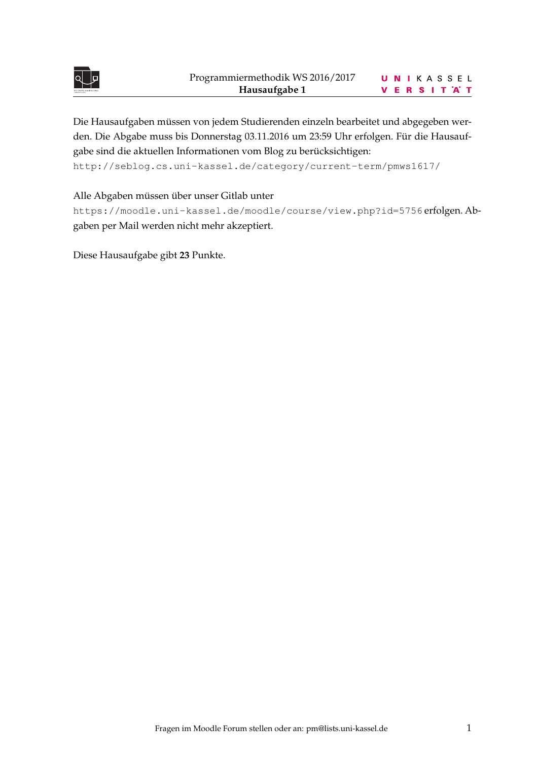

Die Hausaufgaben müssen von jedem Studierenden einzeln bearbeitet und abgegeben werden. Die Abgabe muss bis Donnerstag 03.11.2016 um 23:59 Uhr erfolgen. Für die Hausaufgabe sind die aktuellen Informationen vom Blog zu berücksichtigen:

<http://seblog.cs.uni-kassel.de/category/current-term/pmws1617/>

Alle Abgaben müssen über unser Gitlab unter

<https://moodle.uni-kassel.de/moodle/course/view.php?id=5756> erfolgen. Abgaben per Mail werden nicht mehr akzeptiert.

Diese Hausaufgabe gibt **23** Punkte.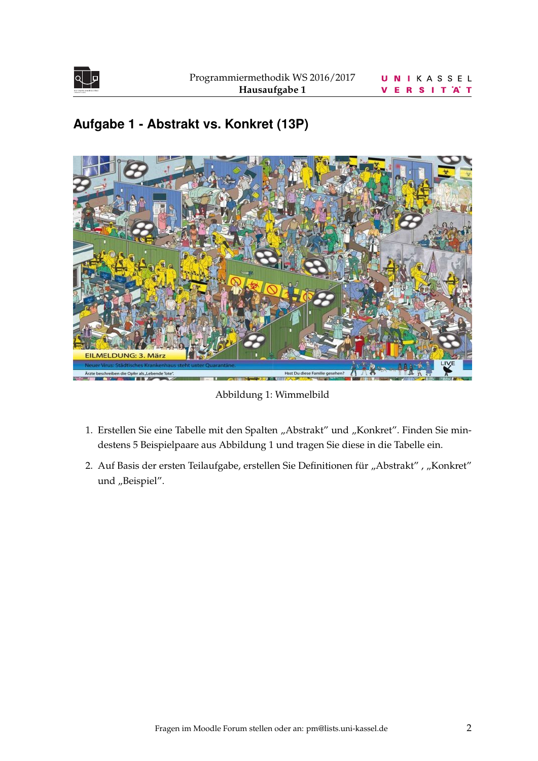

# **Aufgabe 1 - Abstrakt vs. Konkret (13P)**

<span id="page-1-0"></span>

Abbildung 1: Wimmelbild

- 1. Erstellen Sie eine Tabelle mit den Spalten "Abstrakt" und "Konkret". Finden Sie mindestens 5 Beispielpaare aus Abbildung [1](#page-1-0) und tragen Sie diese in die Tabelle ein.
- 2. Auf Basis der ersten Teilaufgabe, erstellen Sie Definitionen für "Abstrakt", "Konkret" und "Beispiel".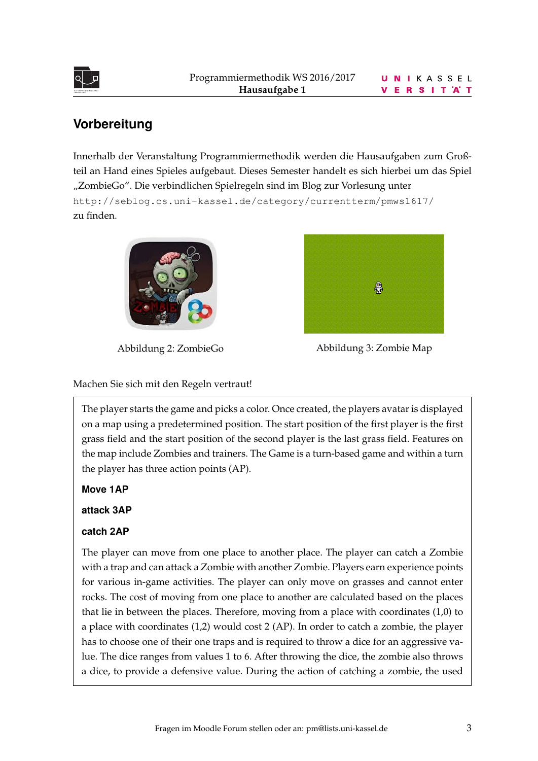

## **Vorbereitung**

Innerhalb der Veranstaltung Programmiermethodik werden die Hausaufgaben zum Großteil an Hand eines Spieles aufgebaut. Dieses Semester handelt es sich hierbei um das Spiel "ZombieGo". Die verbindlichen Spielregeln sind im Blog zur Vorlesung unter <http://seblog.cs.uni-kassel.de/category/currentterm/pmws1617/> zu finden.





Abbildung 2: ZombieGo Abbildung 3: Zombie Map

Machen Sie sich mit den Regeln vertraut!

The player starts the game and picks a color. Once created, the players avatar is displayed on a map using a predetermined position. The start position of the first player is the first grass field and the start position of the second player is the last grass field. Features on the map include Zombies and trainers. The Game is a turn-based game and within a turn the player has three action points (AP).

**Move 1AP**

**attack 3AP**

### **catch 2AP**

The player can move from one place to another place. The player can catch a Zombie with a trap and can attack a Zombie with another Zombie. Players earn experience points for various in-game activities. The player can only move on grasses and cannot enter rocks. The cost of moving from one place to another are calculated based on the places that lie in between the places. Therefore, moving from a place with coordinates (1,0) to a place with coordinates (1,2) would cost 2 (AP). In order to catch a zombie, the player has to choose one of their one traps and is required to throw a dice for an aggressive value. The dice ranges from values 1 to 6. After throwing the dice, the zombie also throws a dice, to provide a defensive value. During the action of catching a zombie, the used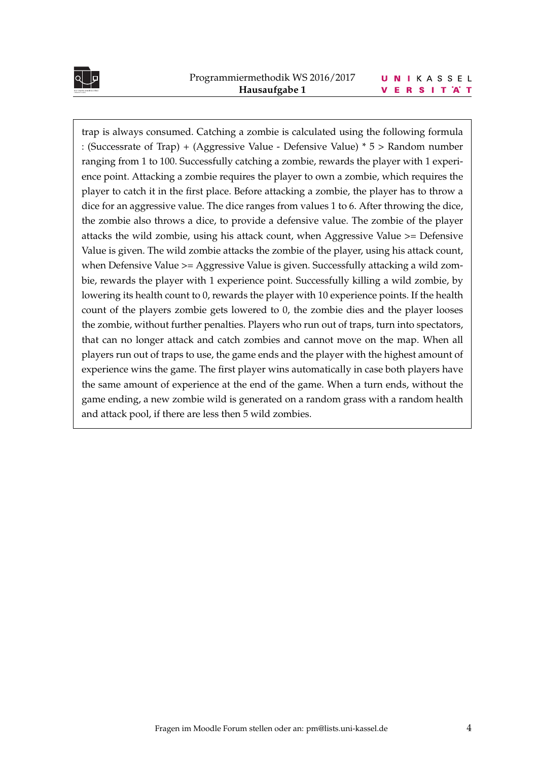

#### UNIKASSEL **VERSITAT**

trap is always consumed. Catching a zombie is calculated using the following formula : (Successrate of Trap) + (Aggressive Value - Defensive Value) \* 5 > Random number ranging from 1 to 100. Successfully catching a zombie, rewards the player with 1 experience point. Attacking a zombie requires the player to own a zombie, which requires the player to catch it in the first place. Before attacking a zombie, the player has to throw a dice for an aggressive value. The dice ranges from values 1 to 6. After throwing the dice, the zombie also throws a dice, to provide a defensive value. The zombie of the player attacks the wild zombie, using his attack count, when Aggressive Value >= Defensive Value is given. The wild zombie attacks the zombie of the player, using his attack count, when Defensive Value >= Aggressive Value is given. Successfully attacking a wild zombie, rewards the player with 1 experience point. Successfully killing a wild zombie, by lowering its health count to 0, rewards the player with 10 experience points. If the health count of the players zombie gets lowered to 0, the zombie dies and the player looses the zombie, without further penalties. Players who run out of traps, turn into spectators, that can no longer attack and catch zombies and cannot move on the map. When all players run out of traps to use, the game ends and the player with the highest amount of experience wins the game. The first player wins automatically in case both players have the same amount of experience at the end of the game. When a turn ends, without the game ending, a new zombie wild is generated on a random grass with a random health and attack pool, if there are less then 5 wild zombies.